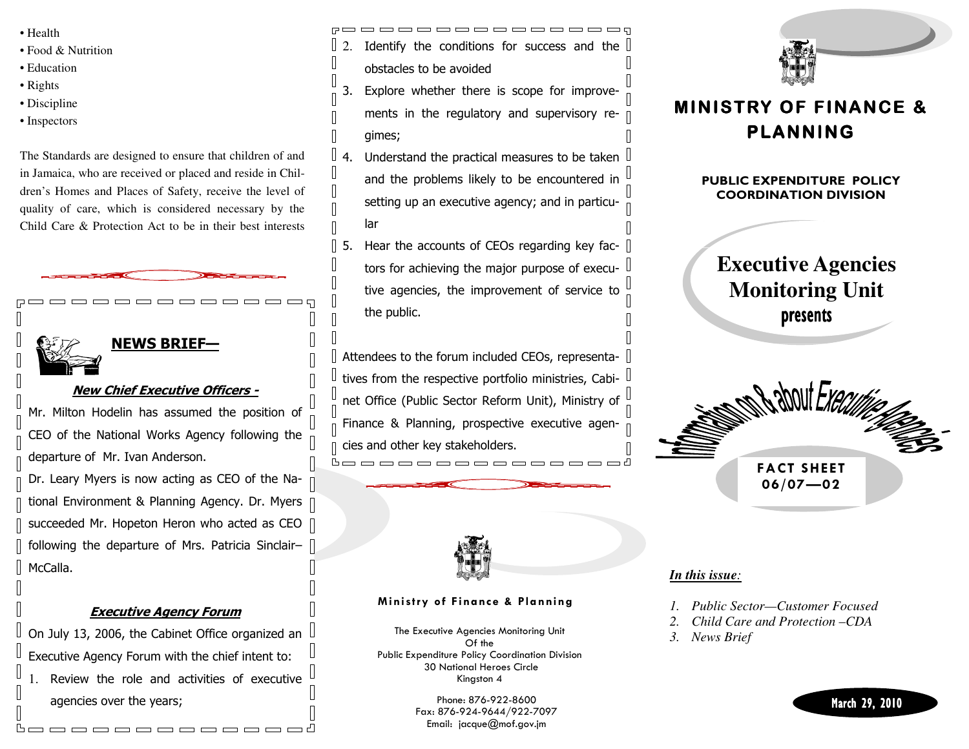- Health
- Food & Nutrition
- Education
- Rights

ГP.

- Discipline
- Inspectors

The Standards are designed to ensure that children of and in Jamaica, who are received or placed and reside in Children's Homes and Places of Safety, receive the level of quality of care, which is considered necessary by the Child Care & Protection Act to be in their best interests

# NEWS BRIEF—

# New Chief Executive Officers -

Mr. Milton Hodelin has assumed the position of CEO of the National Works Agency following the departure of Mr. Ivan Anderson.

Dr. Leary Myers is now acting as CEO of the Na-  $\Box$ tional Environment & Planning Agency. Dr. Myers [ succeeded Mr. Hopeton Heron who acted as CEO  $\parallel$ following the departure of Mrs. Patricia Sinclair-McCalla.

### Executive Agency Forum

 On July 13, 2006, the Cabinet Office organized an Executive Agency Forum with the chief intent to:

1. Review the role and activities of executive agencies over the years;

- pooooooooooooo  $\Box$ 2. Identify the conditions for success and the obstacles to be avoided
- 3. Explore whether there is scope for improvements in the regulatory and supervisory regimes;
- Understand the practical measures to be taken and the problems likely to be encountered in setting up an executive agency; and in particular
- Hear the accounts of CEOs regarding key fac-  $\parallel$ tors for achieving the major purpose of execu-  $\mathbb {I}$ tive agencies, the improvement of service to the public.

Attendees to the forum included CEOs, representatives from the respective portfolio ministries, Cabinet Office (Public Sector Reform Unit), Ministry ofFinance & Planning, prospective executive agencies and other key stakeholders. 



### Ministry of Finance & Planning

The Executive Agencies Monitoring Unit Of the Public Expenditure Policy Coordination Division 30 National Heroes Circle Kingston 4

> Phone: 876-922-8600 Fax: 876-924-9644/922-7097 Email: jacque@mof.gov.jm



# MINISTRY OF FINANCE & PLANNING PLANNING

#### PUBLIC EXPENDITURE POLICY COORDINATION DIVISION

# **Executive Agencies Monitoring Unit** presents



# *In this issue:*

- *1. Public Sector—Customer Focused*
- *2. Child Care and Protection –CDA*
- *3. News Brief*